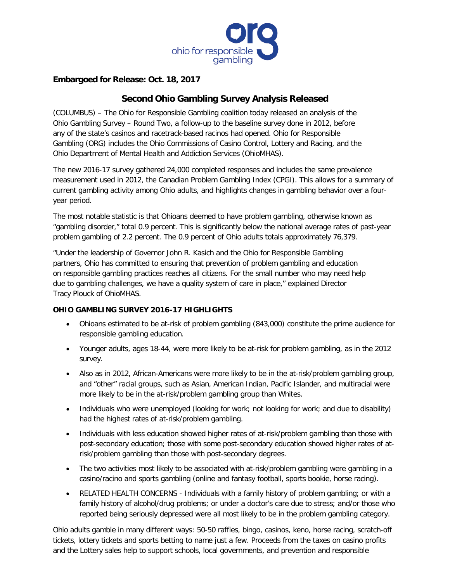

# **Embargoed for Release: Oct. 18, 2017**

# **Second Ohio Gambling Survey Analysis Released**

(COLUMBUS) – The Ohio for Responsible Gambling coalition today released an analysis of the Ohio Gambling Survey – Round Two, a follow-up to the baseline survey done in 2012, before any of the state's casinos and racetrack-based racinos had opened. Ohio for Responsible Gambling (ORG) includes the Ohio Commissions of Casino Control, Lottery and Racing, and the Ohio Department of Mental Health and Addiction Services (OhioMHAS).

The new 2016-17 survey gathered 24,000 completed responses and includes the same prevalence measurement used in 2012, the Canadian Problem Gambling Index (CPGI). This allows for a summary of current gambling activity among Ohio adults, and highlights changes in gambling behavior over a fouryear period.

The most notable statistic is that Ohioans deemed to have problem gambling, otherwise known as "gambling disorder," total 0.9 percent. This is significantly below the national average rates of past-year problem gambling of 2.2 percent. The 0.9 percent of Ohio adults totals approximately 76,379.

"Under the leadership of Governor John R. Kasich and the Ohio for Responsible Gambling partners, Ohio has committed to ensuring that prevention of problem gambling and education on responsible gambling practices reaches all citizens. For the small number who may need help due to gambling challenges, we have a quality system of care in place," explained Director Tracy Plouck of OhioMHAS.

# **OHIO GAMBLING SURVEY 2016-17 HIGHLIGHTS**

- Ohioans estimated to be at-risk of problem gambling (843,000) constitute the prime audience for responsible gambling education.
- Younger adults, ages 18-44, were more likely to be at-risk for problem gambling, as in the 2012 survey.
- Also as in 2012, African-Americans were more likely to be in the at-risk/problem gambling group, and "other" racial groups, such as Asian, American Indian, Pacific Islander, and multiracial were more likely to be in the at-risk/problem gambling group than Whites.
- Individuals who were unemployed (looking for work; not looking for work; and due to disability) had the highest rates of at-risk/problem gambling.
- Individuals with less education showed higher rates of at-risk/problem gambling than those with post-secondary education; those with some post-secondary education showed higher rates of atrisk/problem gambling than those with post-secondary degrees.
- The two activities most likely to be associated with at-risk/problem gambling were gambling in a casino/racino and sports gambling (online and fantasy football, sports bookie, horse racing).
- RELATED HEALTH CONCERNS Individuals with a family history of problem gambling; or with a family history of alcohol/drug problems; or under a doctor's care due to stress; and/or those who reported being seriously depressed were all most likely to be in the problem gambling category.

Ohio adults gamble in many different ways: 50-50 raffles, bingo, casinos, keno, horse racing, scratch-off tickets, lottery tickets and sports betting to name just a few. Proceeds from the taxes on casino profits and the Lottery sales help to support schools, local governments, and prevention and responsible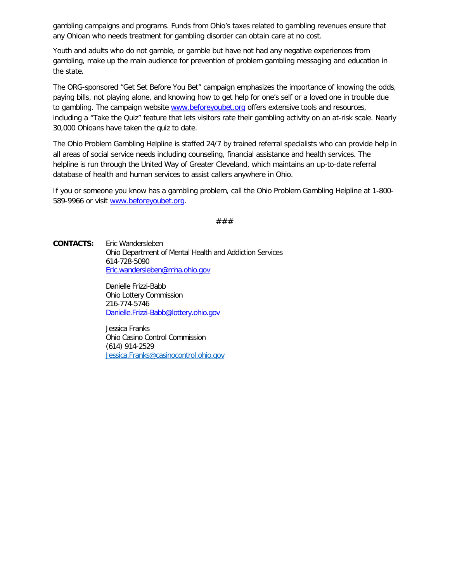gambling campaigns and programs. Funds from Ohio's taxes related to gambling revenues ensure that any Ohioan who needs treatment for gambling disorder can obtain care at no cost.

Youth and adults who do not gamble, or gamble but have not had any negative experiences from gambling, make up the main audience for prevention of problem gambling messaging and education in the state.

The ORG-sponsored "Get Set Before You Bet" campaign emphasizes the importance of knowing the odds, paying bills, not playing alone, and knowing how to get help for one's self or a loved one in trouble due to gambling. The campaign website [www.beforeyoubet.org](http://www.beforeyoubet.org/) offers extensive tools and resources, including a "Take the Quiz" feature that lets visitors rate their gambling activity on an at-risk scale. Nearly 30,000 Ohioans have taken the quiz to date.

The Ohio Problem Gambling Helpline is staffed 24/7 by trained referral specialists who can provide help in all areas of social service needs including counseling, financial assistance and health services. The helpline is run through the United Way of Greater Cleveland, which maintains an up-to-date referral database of health and human services to assist callers anywhere in Ohio.

If you or someone you know has a gambling problem, call the Ohio Problem Gambling Helpline at 1-800- 589-9966 or visit [www.beforeyoubet.org.](http://www.beforeyoubet.org/)

###

**CONTACTS:** Eric Wandersleben Ohio Department of Mental Health and Addiction Services 614-728-5090 [Eric.wandersleben@mha.ohio.gov](mailto:Eric.wandersleben@mha.ohio.gov)

> Danielle Frizzi-Babb Ohio Lottery Commission 216-774-5746 [Danielle.Frizzi-Babb@lottery.ohio.gov](mailto:Danielle.Frizzi-Babb@lottery.ohio.gov)

Jessica Franks Ohio Casino Control Commission (614) 914-2529 [Jessica.Franks@casinocontrol.ohio.gov](mailto:Jessica.Franks@casinocontrol.ohio.gov)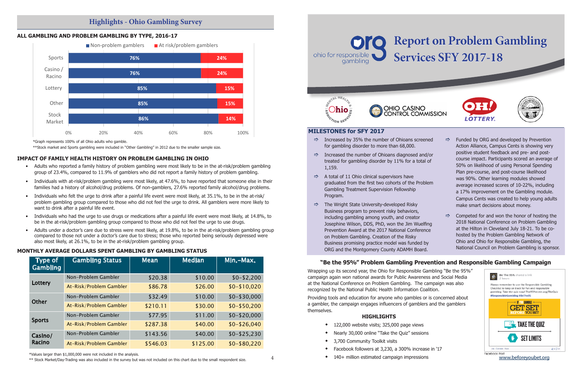Wrapping up its second year, the Ohio for Responsible Gambling "Be the 95%" campaign again won national awards for Public Awareness and Social Media at the National Conference on Problem Gambling. The campaign was also recognized by the National Public Health Information Coalition.

Providing tools and education for anyone who gambles or is concerned about a gambler, the campaign engages influencers of gamblers and the gamblers themselves.

# **HIGHLIGHTS**

- $\bullet$  122,000 website visits; 325,000 page views
- Nearly 30,000 online "Take the Quiz" sessions
- 3,700 Community Toolkit visits
- Facebook followers at 3,230, a 300% increase in '17
- $140+$  million estimated campaign impressions
- $\Rightarrow$  Increased by 35% the number of Ohioans screene for gambling disorder to more than 68,000.
- $\Rightarrow$  Increased the number of Ohioans diagnosed and/ treated for gambling disorder by 11% for a total 1,159.
- $\Rightarrow$  A total of 11 Ohio clinical supervisors have graduated from the first two cohorts of the Proble Gambling Treatment Supervision Fellowship Program.
- $\Rightarrow$  The Wright State University-developed Risky Business program to prevent risky behaviors, including gambling among youth, and creator Josephine Wilson, DDS, PhD, won the Jim Wuelfing Prevention Award at the 2017 National Conference on Problem Gambling. Creation of the Risky Business promising practice model was funded by ORG and the Montgomery County ADAMH Board.

# **MILESTONES for SFY 2017**

| ed  | ⇨             | Funded by ORG and developed by Prevention                                                        |
|-----|---------------|--------------------------------------------------------------------------------------------------|
|     |               | Action Alliance, Campus Cents is showing very                                                    |
| 'or |               | positive student feedback and pre- and post-                                                     |
| эf  |               | course impact. Participants scored an average of<br>50% on likelihood of using Personal Spending |
|     |               | Plan pre-course, and post-course likelihood                                                      |
|     |               | was 90%. Other learning modules showed                                                           |
| m!  |               | average increased scores of 10-22%, including                                                    |
|     |               | a 17% improvement on the Gambling module.                                                        |
|     |               | Campus Cents was created to help young adults                                                    |
|     |               | make smart decisions about money.                                                                |
|     | $\Rightarrow$ | Competed for and won the honor of hosting the                                                    |
| ١q  |               | 2018 National Conference on Problem Gambling                                                     |
| è   |               | at the Hilton in Cleveland July 18-21. To be co-                                                 |
|     |               | hosted by the Problem Gambling Network of                                                        |
|     |               | Ohio and Ohio for Responsible Gambling, the                                                      |

National Council on Problem Gambling is sponsor.





# **"Be the 95%" Problem Gambling Prevention and Responsible Gambling Campaign**

www.beforeyoubet.org

# **IMPACT OF FAMILY HEALTH HISTORY ON PROBLEM GAMBLING IN OHIO**

# **NON-PROBLEM AND PROBLEM Gambling 3df** Vey **Highlights - Ohio Gambling Survey**



- Adults who reported a family history of problem gambling were most likely to be in the at-risk/problem gambling group of 23.4%, compared to 11.9% of gamblers who did not report a family history of problem gambling.
- Individuals with at-risk/problem gambling were most likely, at 47.6%, to have reported that someone else in their families had a history of alcohol/drug problems. Of non-gamblers, 27.6% reported family alcohol/drug problems.
- Individuals who felt the urge to drink after a painful life event were most likely, at 35.1%, to be in the at-risk/ problem gambling group compared to those who did not feel the urge to drink. All gamblers were more likely to want to drink after a painful life event.
- Individuals who had the urge to use drugs or medications after a painful life event were most likely, at 14.8%, to be in the at-risk/problem gambling group compared to those who did not feel the urge to use drugs.
- Adults under a doctor's care due to stress were most likely, at 19.8%, to be in the at-risk/problem gambling group compared to those not under a doctor's care due to stress; those who reported being seriously depressed were also most likely, at 26.1%, to be in the at-risk/problem gambling group.



# **MONTHLY AVERAGE DOLLARS SPENT GAMBLING BY GAMBLING STATUS Monthly Average Dollars Spent Gambling by Gambling Status**

| <b>Type of</b><br>Gambling | <b>Gambling Status</b>  | <b>Mean</b> | <b>Median</b> | Min.-Max.    |
|----------------------------|-------------------------|-------------|---------------|--------------|
| Lottery                    | Non-Problem Gambler     | \$20.38     | \$10.00       | $$0-$2,200$  |
|                            | At-Risk/Problem Gambler | \$86.78     | \$26.00       | $$0-$10,020$ |
|                            | Non-Problem Gambler     | \$32.49     | \$10.00       | $$0-$30,000$ |
| Other                      | At-Risk/Problem Gambler | \$210.11    | \$30.00       | $$0-$50,200$ |
|                            | Non-Problem Gambler     | \$77.95     | \$11.00       | $$0-$20,000$ |
| <b>Sports</b>              | At-Risk/Problem Gambler | \$287.38    | \$40.00       | $$0-$26,040$ |
| Casino/                    | Non-Problem Gambler     | \$143.56    | \$40.00       | $$0-$25,230$ |
| Racino                     | At-Risk/Problem Gambler | \$546.03    | \$125.00      | $$0-$80,220$ |

\*Values larger than \$1,000,000 were not included in the analysis.

 $\ast\ast$  Stock Market/Day-Trading was also included in the survey but was not included on this chart due to the small respondent size.



# **Services SFY 2017-18**





\*Graph represents 100% of all Ohio adults who gamble.

\*\*Stock market and Sports gambling were included in "Other Gambling" in 2012 due to the smaller sample size.

4